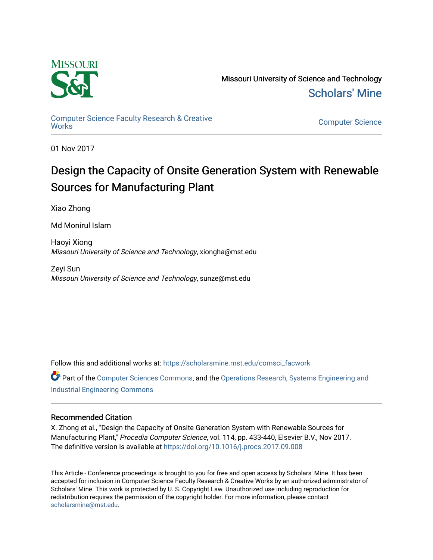

Missouri University of Science and Technology [Scholars' Mine](https://scholarsmine.mst.edu/) 

[Computer Science Faculty Research & Creative](https://scholarsmine.mst.edu/comsci_facwork) 

**Computer Science** 

01 Nov 2017

# Design the Capacity of Onsite Generation System with Renewable Sources for Manufacturing Plant

Xiao Zhong

Md Monirul Islam

Haoyi Xiong Missouri University of Science and Technology, xiongha@mst.edu

Zeyi Sun Missouri University of Science and Technology, sunze@mst.edu

Follow this and additional works at: [https://scholarsmine.mst.edu/comsci\\_facwork](https://scholarsmine.mst.edu/comsci_facwork?utm_source=scholarsmine.mst.edu%2Fcomsci_facwork%2F516&utm_medium=PDF&utm_campaign=PDFCoverPages) 

Part of the [Computer Sciences Commons](http://network.bepress.com/hgg/discipline/142?utm_source=scholarsmine.mst.edu%2Fcomsci_facwork%2F516&utm_medium=PDF&utm_campaign=PDFCoverPages), and the [Operations Research, Systems Engineering and](http://network.bepress.com/hgg/discipline/305?utm_source=scholarsmine.mst.edu%2Fcomsci_facwork%2F516&utm_medium=PDF&utm_campaign=PDFCoverPages) [Industrial Engineering Commons](http://network.bepress.com/hgg/discipline/305?utm_source=scholarsmine.mst.edu%2Fcomsci_facwork%2F516&utm_medium=PDF&utm_campaign=PDFCoverPages) 

### Recommended Citation

X. Zhong et al., "Design the Capacity of Onsite Generation System with Renewable Sources for Manufacturing Plant," Procedia Computer Science, vol. 114, pp. 433-440, Elsevier B.V., Nov 2017. The definitive version is available at <https://doi.org/10.1016/j.procs.2017.09.008>

This Article - Conference proceedings is brought to you for free and open access by Scholars' Mine. It has been accepted for inclusion in Computer Science Faculty Research & Creative Works by an authorized administrator of Scholars' Mine. This work is protected by U. S. Copyright Law. Unauthorized use including reproduction for redistribution requires the permission of the copyright holder. For more information, please contact [scholarsmine@mst.edu.](mailto:scholarsmine@mst.edu)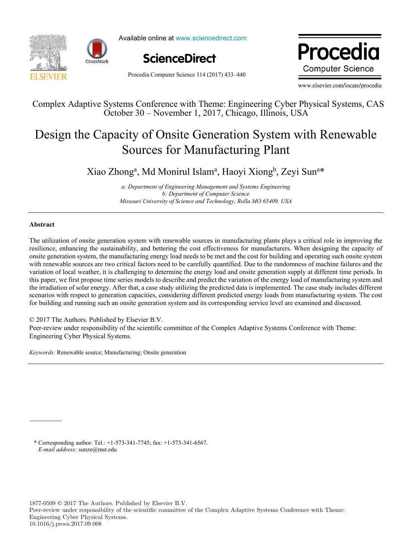



Available online at www.sciencedirect.com



Procedia Computer Science 114 (2017) 433–440

Procedia **Computer Science** 

www.elsevier.com/locate/procedia

Complex Adaptive Systems Conference with Theme: Engineering Cyber Physical Systems, CAS October 30 – November 1, 2017, Chicago, Illinois, USA

## Design the Capacity of Onsite Generation System with Renewable Sources for Manufacturing Plant

Xiao Zhong<sup>a</sup>, Md Monirul Islam<sup>a</sup>, Haoyi Xiong<sup>b</sup>, Zeyi Sun<sup>a\*</sup>

*a: Department of Engineering Management and Systems Engineering b: Department of Computer Science Missouri University of Science and Technology, Rolla MO 65409, USA* 

#### **Abstract**

The utilization of onsite generation system with renewable sources in manufacturing plants plays a critical role in improving the resilience, enhancing the sustainability, and bettering the cost effectiveness for manufacturers. When designing the capacity of onsite generation system, the manufacturing energy load needs to be met and the cost for building and operating such onsite system with renewable sources are two critical factors need to be carefully quantified. Due to the randomness of machine failures and the variation of local weather, it is challenging to determine the energy load and onsite generation supply at different time periods. In this paper, we first propose time series models to describe and predict the variation of the energy load of manufacturing system and the irradiation of solar energy. After that, a case study utilizing the predicted data is implemented. The case study includes different scenarios with respect to generation capacities, considering different predicted energy loads from manufacturing system. The cost for building and running such an onsite generation system and its corresponding service level are examined and discussed.

© 2017 The Authors. Published by Elsevier B.V.

Peer-review under responsibility of the scientific committee of the Complex Adaptive Systems Conference with Theme: Engineering Cyber Physical Systems.

*Keywords:* Renewable source; Manufacturing; Onsite generation

\* Corresponding author. Tel.: +1-573-341-7745; fax: +1-573-341-6567. *E-mail address:* sunze@mst.edu

1877-0509 © 2017 The Authors. Published by Elsevier B.V.

Peer-review under responsibility of the scientific committee of the Complex Adaptive Systems Conference with Theme: Engineering Cyber Physical Systems. 10.1016/j.procs.2017.09.008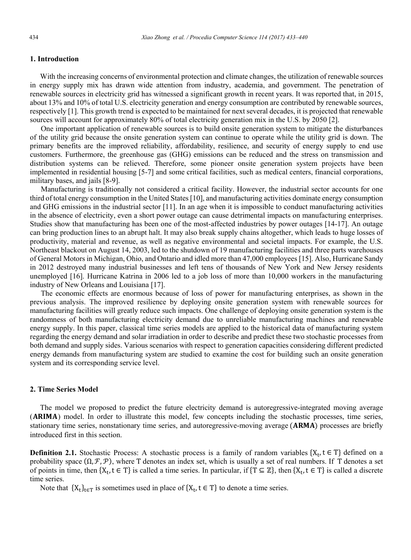#### **1. Introduction**

With the increasing concerns of environmental protection and climate changes, the utilization of renewable sources in energy supply mix has drawn wide attention from industry, academia, and government. The penetration of renewable sources in electricity grid has witnessed a significant growth in recent years. It was reported that, in 2015, about 13% and 10% of total U.S. electricity generation and energy consumption are contributed by renewable sources, respectively [1]. This growth trend is expected to be maintained for next several decades, it is projected that renewable sources will account for approximately 80% of total electricity generation mix in the U.S. by 2050 [2].

One important application of renewable sources is to build onsite generation system to mitigate the disturbances of the utility grid because the onsite generation system can continue to operate while the utility grid is down. The primary benefits are the improved reliability, affordability, resilience, and security of energy supply to end use customers. Furthermore, the greenhouse gas (GHG) emissions can be reduced and the stress on transmission and distribution systems can be relieved. Therefore, some pioneer onsite generation system projects have been implemented in residential housing [5-7] and some critical facilities, such as medical centers, financial corporations, military bases, and jails [8-9].

Manufacturing is traditionally not considered a critical facility. However, the industrial sector accounts for one third of total energy consumption in the United States [10], and manufacturing activities dominate energy consumption and GHG emissions in the industrial sector [11]. In an age when it is impossible to conduct manufacturing activities in the absence of electricity, even a short power outage can cause detrimental impacts on manufacturing enterprises. Studies show that manufacturing has been one of the most-affected industries by power outages [14-17]. An outage can bring production lines to an abrupt halt. It may also break supply chains altogether, which leads to huge losses of productivity, material and revenue, as well as negative environmental and societal impacts. For example, the U.S. Northeast blackout on August 14, 2003, led to the shutdown of 19 manufacturing facilities and three parts warehouses of General Motors in Michigan, Ohio, and Ontario and idled more than 47,000 employees [15]. Also, Hurricane Sandy in 2012 destroyed many industrial businesses and left tens of thousands of New York and New Jersey residents unemployed [16]. Hurricane Katrina in 2006 led to a job loss of more than 10,000 workers in the manufacturing industry of New Orleans and Louisiana [17].

The economic effects are enormous because of loss of power for manufacturing enterprises, as shown in the previous analysis. The improved resilience by deploying onsite generation system with renewable sources for manufacturing facilities will greatly reduce such impacts. One challenge of deploying onsite generation system is the randomness of both manufacturing electricity demand due to unreliable manufacturing machines and renewable energy supply. In this paper, classical time series models are applied to the historical data of manufacturing system regarding the energy demand and solar irradiation in order to describe and predict these two stochastic processes from both demand and supply sides. Various scenarios with respect to generation capacities considering different predicted energy demands from manufacturing system are studied to examine the cost for building such an onsite generation system and its corresponding service level.

#### **2. Time Series Model**

The model we proposed to predict the future electricity demand is autoregressive-integrated moving average (ARIMA) model. In order to illustrate this model, few concepts including the stochastic processes, time series, stationary time series, nonstationary time series, and autoregressive-moving average (ARMA) processes are briefly introduced first in this section.

**Definition 2.1.** Stochastic Process: A stochastic process is a family of random variables  $\{X_t, t \in T\}$  defined on a probability space  $(\Omega, \mathcal{F}, \mathcal{P})$ , where T denotes an index set, which is usually a set of real numbers. If T denotes a set of points in time, then  $\{X_t, t \in T\}$  is called a time series. In particular, if  $\{T \subseteq \mathbb{Z}\}$ , then  $\{X_t, t \in T\}$  is called a discrete time series.

Note that  $\{X_t\}_{t\in\mathcal{T}}$  is sometimes used in place of  $\{X_t, t \in \mathcal{T}\}\$  to denote a time series.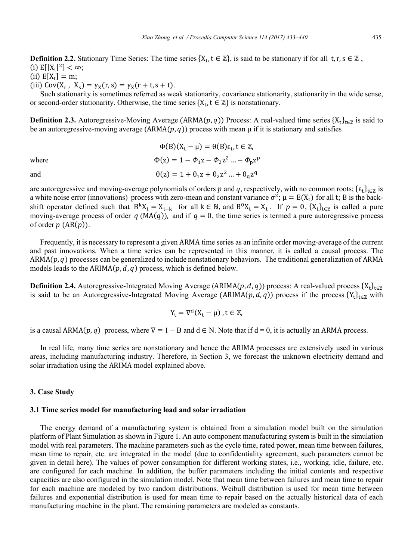**Definition 2.2.** Stationary Time Series: The time series  $\{X_t, t \in \mathbb{Z}\}\$ , is said to be stationary if for all  $t, r, s \in \mathbb{Z}\$ , (i)  $E[|X_t|^2] < \infty$ ;

(ii)  $E[X_t] = m;$ 

(iii)  $Cov(X_r, X_s) = \gamma_X(r, s) = \gamma_X(r + t, s + t)$ .

Such stationarity is sometimes referred as weak stationarity, covariance stationarity, stationarity in the wide sense, or second-order stationarity. Otherwise, the time series  $\{X_t, t \in \mathbb{Z}\}\$  is nonstationary.

**Definition 2.3.** Autoregressive-Moving Average (ARMA(p, q)) Process: A real-valued time series  $\{X_t\}_{t\in\mathbb{Z}}$  is said to be an autoregressive-moving average (ARMA $(p, q)$ ) process with mean  $\mu$  if it is stationary and satisfies

where

and

 $\Phi(B)(X_t - \mu) = \theta(B)\varepsilon_t, t \in \mathbb{Z}$  $\Phi(z) = 1 - \Phi_1 z - \Phi_2 z^2 ... - \Phi_n z^p$  $\theta(z) = 1 + \theta_1 z + \theta_2 z^2 ... + \theta_0 z^q$ 

are autoregressive and moving-average polynomials of orders p and q, respectively, with no common roots;  $\{\varepsilon_t\}_{t \in \mathbb{Z}}$  is a white noise error (innovations) process with zero-mean and constant variance  $\sigma^2$ ;  $\mu = E(X_t)$  for all t; B is the backshift operator defined such that  $B^k X_t = X_{t-k}$  for all  $k \in \mathbb{N}$ , and  $B^0 X_t = X_t$ . If  $p = 0$ ,  $\{X_t\}_{t \in \mathbb{Z}}$  is called a pure moving-average process of order  $q(MA(q))$ , and if  $q = 0$ , the time series is termed a pure autoregressive process of order  $p(AR(p))$ .

Frequently, it is necessary to represent a given ARMA time series as an infinite order moving-average of the current and past innovations. When a time series can be represented in this manner, it is called a causal process. The  $ARMA(p, q)$  processes can be generalized to include nonstationary behaviors. The traditional generalization of ARMA models leads to the ARIMA $(p, d, q)$  process, which is defined below.

**Definition 2.4.** Autoregressive-Integrated Moving Average (ARIMA(p, d, q)) process: A real-valued process  $\{X_t\}_{t\in\mathbb{Z}}$ is said to be an Autoregressive-Integrated Moving Average (ARIMA $(p, d, q)$ ) process if the process {Y<sub>t</sub>}<sub>te</sub> $\overline{z}$  with

$$
Y_t = \nabla^d (X_t - \mu) \,, t \in \mathbb{Z},
$$

is a causal ARMA $(p, q)$  process, where  $\nabla = 1 - B$  and  $d \in N$ . Note that if  $d = 0$ , it is actually an ARMA process.

In real life, many time series are nonstationary and hence the ARIMA processes are extensively used in various areas, including manufacturing industry. Therefore, in Section 3, we forecast the unknown electricity demand and solar irradiation using the ARIMA model explained above.

#### 3. Case Study

#### 3.1 Time series model for manufacturing load and solar irradiation

The energy demand of a manufacturing system is obtained from a simulation model built on the simulation platform of Plant Simulation as shown in Figure 1. An auto component manufacturing system is built in the simulation model with real parameters. The machine parameters such as the cycle time, rated power, mean time between failures, mean time to repair, etc. are integrated in the model (due to confidentiality agreement, such parameters cannot be given in detail here). The values of power consumption for different working states, i.e., working, idle, failure, etc. are configured for each machine. In addition, the buffer parameters including the initial contents and respective capacities are also configured in the simulation model. Note that mean time between failures and mean time to repair for each machine are modeled by two random distributions. Weibull distribution is used for mean time between failures and exponential distribution is used for mean time to repair based on the actually historical data of each manufacturing machine in the plant. The remaining parameters are modeled as constants.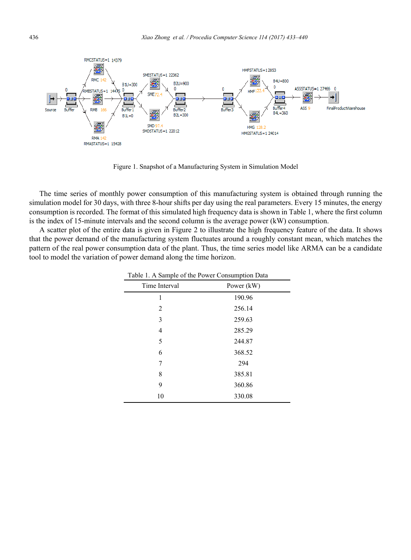

Figure 1. Snapshot of a Manufacturing System in Simulation Model

The time series of monthly power consumption of this manufacturing system is obtained through running the simulation model for 30 days, with three 8-hour shifts per day using the real parameters. Every 15 minutes, the energy consumption is recorded. The format of this simulated high frequency data is shown in Table 1, where the first column is the index of 15-minute intervals and the second column is the average power (kW) consumption.

A scatter plot of the entire data is given in Figure 2 to illustrate the high frequency feature of the data. It shows that the power demand of the manufacturing system fluctuates around a roughly constant mean, which matches the pattern of the real power consumption data of the plant. Thus, the time series model like ARMA can be a candidate tool to model the variation of power demand along the time horizon.

| Time Interval | Power (kW) |  |
|---------------|------------|--|
| 1             | 190.96     |  |
| 2             | 256.14     |  |
| 3             | 259.63     |  |
| 4             | 285.29     |  |
| 5             | 244.87     |  |
| 6             | 368.52     |  |
| 7             | 294        |  |
| 8             | 385.81     |  |
| 9             | 360.86     |  |
| 10            | 330.08     |  |

Table 1. A Sample of the Power Consumption Data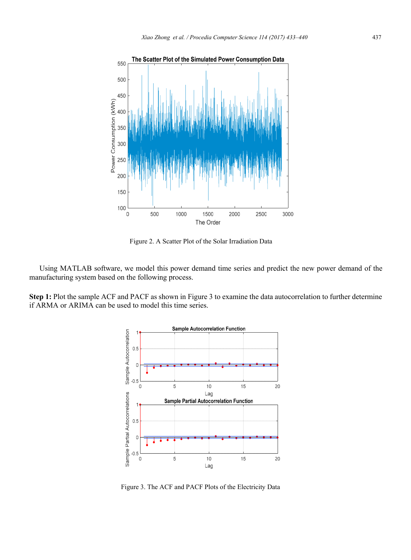

Figure 2. A Scatter Plot of the Solar Irradiation Data

Using MATLAB software, we model this power demand time series and predict the new power demand of the manufacturing system based on the following process.

**Step 1:** Plot the sample ACF and PACF as shown in Figure 3 to examine the data autocorrelation to further determine if ARMA or ARIMA can be used to model this time series.



Figure 3. The ACF and PACF Plots of the Electricity Data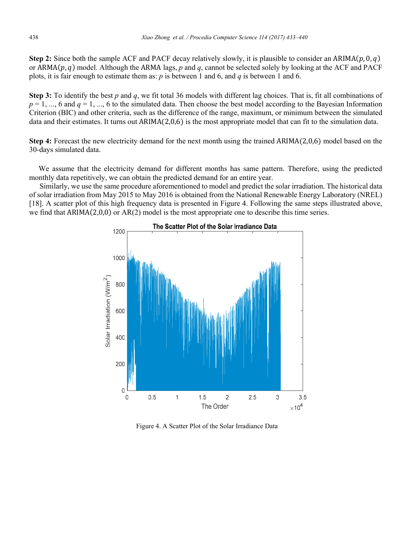**Step 2:** Since both the sample ACF and PACF decay relatively slowly, it is plausible to consider an  $ARIMA(p, 0, q)$ or  $ARMA(p, q)$  model. Although the ARMA lags, *p* and *q*, cannot be selected solely by looking at the ACF and PACF plots, it is fair enough to estimate them as: *p* is between 1 and 6, and *q* is between 1 and 6.

**Step 3:** To identify the best *p* and *q*, we fit total 36 models with different lag choices. That is, fit all combinations of  $p = 1, \dots, 6$  and  $q = 1, \dots, 6$  to the simulated data. Then choose the best model according to the Bayesian Information Criterion (BIC) and other criteria, such as the difference of the range, maximum, or minimum between the simulated data and their estimates. It turns out  $ARIMA(2,0,6)$  is the most appropriate model that can fit to the simulation data.

**Step 4:** Forecast the new electricity demand for the next month using the trained ARIMA $(2,0,6)$  model based on the 30-days simulated data.

 We assume that the electricity demand for different months has same pattern. Therefore, using the predicted monthly data repetitively, we can obtain the predicted demand for an entire year.

Similarly, we use the same procedure aforementioned to model and predict the solar irradiation. The historical data of solar irradiation from May 2015 to May 2016 is obtained from the National Renewable Energy Laboratory (NREL) [18]. A scatter plot of this high frequency data is presented in Figure 4. Following the same steps illustrated above, we find that  $ARIMA(2,0,0)$  or  $AR(2)$  model is the most appropriate one to describe this time series.



Figure 4. A Scatter Plot of the Solar Irradiance Data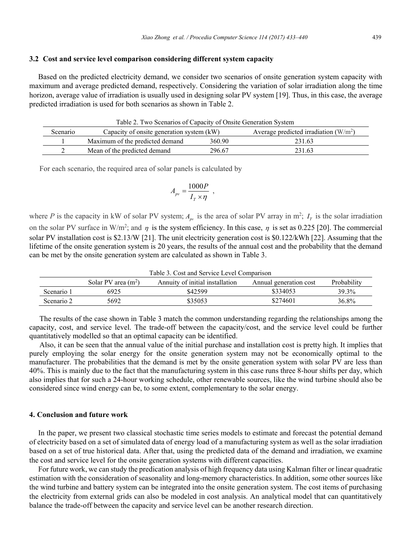#### **3.2 Cost and service level comparison considering different system capacity**

Based on the predicted electricity demand, we consider two scenarios of onsite generation system capacity with maximum and average predicted demand, respectively. Considering the variation of solar irradiation along the time horizon, average value of irradiation is usually used in designing solar PV system [19]. Thus, in this case, the average predicted irradiation is used for both scenarios as shown in Table 2.

Table 2. Two Scenarios of Capacity of Onsite Generation System

| Scenario | Capacity of onsite generation system (kW) |        | Average predicted irradiation $(W/m^2)$ |  |
|----------|-------------------------------------------|--------|-----------------------------------------|--|
|          | Maximum of the predicted demand           | 360.90 | 231.63                                  |  |
|          | Mean of the predicted demand              | 296.67 | 231.63                                  |  |

For each scenario, the required area of solar panels is calculated by

$$
A_{pv} = \frac{1000P}{I_T \times \eta} ,
$$

where *P* is the capacity in kW of solar PV system;  $A_{pv}$  is the area of solar PV array in m<sup>2</sup>;  $I_T$  is the solar irradiation on the solar PV surface in W/m<sup>2</sup>; and  $\eta$  is the system efficiency. In this case,  $\eta$  is set as 0.225 [20]. The commercial solar PV installation cost is \$2.13/W [21]. The unit electricity generation cost is \$0.122/kWh [22]. Assuming that the lifetime of the onsite generation system is 20 years, the results of the annual cost and the probability that the demand can be met by the onsite generation system are calculated as shown in Table 3.

| Table 3. Cost and Service Level Comparison |                       |                                 |                        |             |  |
|--------------------------------------------|-----------------------|---------------------------------|------------------------|-------------|--|
|                                            | Solar PV area $(m^2)$ | Annuity of initial installation | Annual generation cost | Probability |  |
| Scenario 1                                 | 6925                  | \$42599                         | \$334053               | 39.3%       |  |
| Scenario 2                                 | 5692                  | \$35053                         | \$274601               | 36.8%       |  |

The results of the case shown in Table 3 match the common understanding regarding the relationships among the capacity, cost, and service level. The trade-off between the capacity/cost, and the service level could be further quantitatively modelled so that an optimal capacity can be identified.

Also, it can be seen that the annual value of the initial purchase and installation cost is pretty high. It implies that purely employing the solar energy for the onsite generation system may not be economically optimal to the manufacturer. The probabilities that the demand is met by the onsite generation system with solar PV are less than 40%. This is mainly due to the fact that the manufacturing system in this case runs three 8-hour shifts per day, which also implies that for such a 24-hour working schedule, other renewable sources, like the wind turbine should also be considered since wind energy can be, to some extent, complementary to the solar energy.

#### **4. Conclusion and future work**

In the paper, we present two classical stochastic time series models to estimate and forecast the potential demand of electricity based on a set of simulated data of energy load of a manufacturing system as well as the solar irradiation based on a set of true historical data. After that, using the predicted data of the demand and irradiation, we examine the cost and service level for the onsite generation systems with different capacities.

For future work, we can study the predication analysis of high frequency data using Kalman filter or linear quadratic estimation with the consideration of seasonality and long-memory characteristics. In addition, some other sources like the wind turbine and battery system can be integrated into the onsite generation system. The cost items of purchasing the electricity from external grids can also be modeled in cost analysis. An analytical model that can quantitatively balance the trade-off between the capacity and service level can be another research direction.